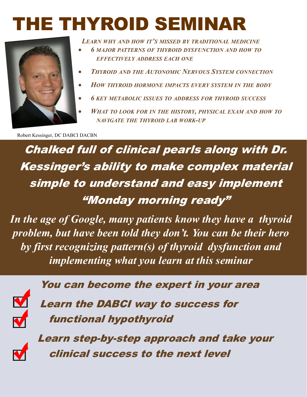## E THYROID SEMINA



 *LEARN WHY AND HOW IT'S MISSED BY TRADITIONAL MEDICINE*

- *6 MAJOR PATTERNS OF THYROID DYSFUNCTION AND HOW TO EFFECTIVELY ADDRESS EACH ONE*
- *THYROID AND THE AUTONOMIC NERVOUS SYSTEM CONNECTION*
- *HOW THYROID HORMONE IMPACTS EVERY SYSTEM IN THE BODY*
- *6 KEY METABOLIC ISSUES TO ADDRESS FOR THYROID SUCCESS*
- *WHAT TO LOOK FOR IN THE HISTORY, PHYSICAL EXAM AND HOW TO NAVIGATE THE THYROID LAB WORK-UP*

Robert Kessinger, DC DABCI DACBN

Chalked full of clinical pearls along with Dr. Kessinger's ability to make complex material simple to understand and easy implement "Monday morning ready"

*In the age of Google, many patients know they have a thyroid problem, but have been told they don't. You can be their hero by first recognizing pattern(s) of thyroid dysfunction and implementing what you learn at this seminar*



You can become the expert in your area

 Learn the DABCI way to success for functional hypothyroid



 Learn step-by-step approach and take your clinical success to the next level